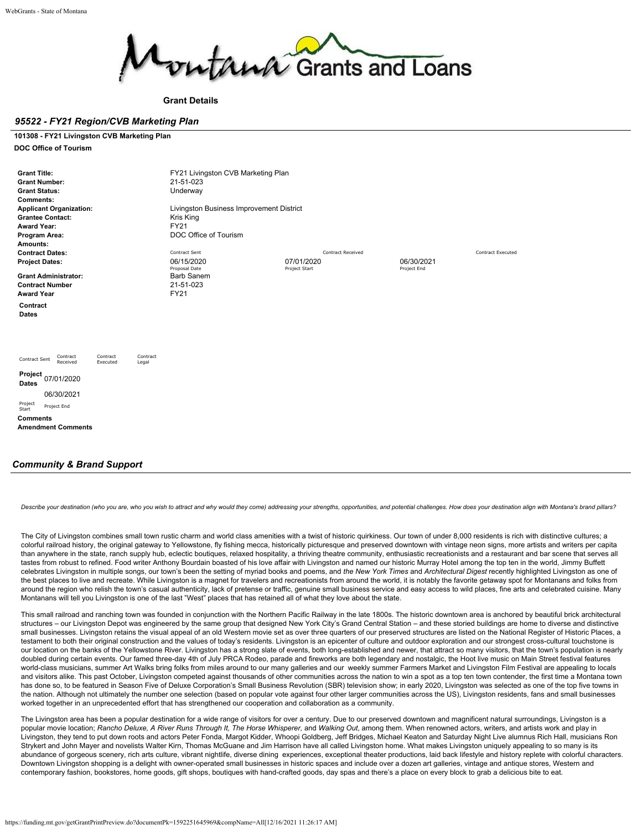

**Grant Details**

### *95522 - FY21 Region/CVB Marketing Plan*

**101308 - FY21 Livingston CVB Marketing Plan DOC Office of Tourism**

| <b>Grant Title:</b><br><b>Grant Number:</b><br><b>Grant Status:</b><br><b>Comments:</b><br><b>Applicant Organization:</b><br><b>Grantee Contact:</b><br><b>Award Year:</b><br>Program Area:<br>Amounts: | FY21 Livingston CVB Marketing Plan<br>21-51-023<br>Underway<br>Livingston Business Improvement District<br>Kris King<br><b>FY21</b><br>DOC Office of Tourism |                          |                           |                          |
|---------------------------------------------------------------------------------------------------------------------------------------------------------------------------------------------------------|--------------------------------------------------------------------------------------------------------------------------------------------------------------|--------------------------|---------------------------|--------------------------|
| <b>Contract Dates:</b>                                                                                                                                                                                  | Contract Sent                                                                                                                                                | <b>Contract Received</b> |                           | <b>Contract Executed</b> |
| <b>Project Dates:</b>                                                                                                                                                                                   | 06/15/2020<br>Proposal Date                                                                                                                                  | 07/01/2020               | 06/30/2021<br>Project End |                          |
| <b>Grant Administrator:</b><br><b>Contract Number</b><br><b>Award Year</b>                                                                                                                              | <b>Barb Sanem</b><br>21-51-023<br><b>FY21</b>                                                                                                                | Project Start            |                           |                          |
| Contract<br>Dates                                                                                                                                                                                       |                                                                                                                                                              |                          |                           |                          |
| Contract<br>Contract<br>Contract<br>Contract Sent<br>Received<br>Executed<br>Legal                                                                                                                      |                                                                                                                                                              |                          |                           |                          |
| Project 07/01/2020<br><b>Dates</b>                                                                                                                                                                      |                                                                                                                                                              |                          |                           |                          |
| 06/30/2021                                                                                                                                                                                              |                                                                                                                                                              |                          |                           |                          |
| Project<br>Project End<br>Start                                                                                                                                                                         |                                                                                                                                                              |                          |                           |                          |
| <b>Comments</b>                                                                                                                                                                                         |                                                                                                                                                              |                          |                           |                          |
| <b>Amendment Comments</b>                                                                                                                                                                               |                                                                                                                                                              |                          |                           |                          |
|                                                                                                                                                                                                         |                                                                                                                                                              |                          |                           |                          |

## *Community & Brand Support*

Describe vour destination (who vou are, who vou wish to attract and why would they come) addressing your strengths, opportunities, and potential challenges. How does your destination align with Montana's brand pillars?

The City of Livingston combines small town rustic charm and world class amenities with a twist of historic quirkiness. Our town of under 8,000 residents is rich with distinctive cultures; a colorful railroad history, the original gateway to Yellowstone, fly fishing mecca, historically picturesque and preserved downtown with vintage neon signs, more artists and writers per capita than anywhere in the state, ranch supply hub, eclectic boutiques, relaxed hospitality, a thriving theatre community, enthusiastic recreationists and a restaurant and bar scene that serves all tastes from robust to refined. Food writer Anthony Bourdain boasted of his love affair with Livingston and named our historic Murray Hotel among the top ten in the world, Jimmy Buffett celebrates Livingston in multiple songs, our town's been the setting of myriad books and poems, and *the New York Times* and *Architectural Digest* recently highlighted Livingston as one of the best places to live and recreate. While Livingston is a magnet for travelers and recreationists from around the world, it is notably the favorite getaway spot for Montanans and folks from around the region who relish the town's casual authenticity, lack of pretense or traffic, genuine small business service and easy access to wild places, fine arts and celebrated cuisine. Many Montanans will tell you Livingston is one of the last "West" places that has retained all of what they love about the state.

This small railroad and ranching town was founded in conjunction with the Northern Pacific Railway in the late 1800s. The historic downtown area is anchored by beautiful brick architectural structures – our Livingston Depot was engineered by the same group that designed New York City's Grand Central Station – and these storied buildings are home to diverse and distinctive small businesses. Livingston retains the visual appeal of an old Western movie set as over three quarters of our preserved structures are listed on the National Register of Historic Places, a testament to both their original construction and the values of today's residents. Livingston is an epicenter of culture and outdoor exploration and our strongest cross-cultural touchstone is our location on the banks of the Yellowstone River. Livingston has a strong slate of events, both long-established and newer, that attract so many visitors, that the town's population is nearly doubled during certain events. Our famed three-day 4th of July PRCA Rodeo, parade and fireworks are both legendary and nostalgic, the Hoot live music on Main Street festival features world-class musicians, summer Art Walks bring folks from miles around to our many galleries and our weekly summer Farmers Market and Livingston Film Festival are appealing to locals and visitors alike. This past October, Livingston competed against thousands of other communities across the nation to win a spot as a top ten town contender, the first time a Montana town has done so, to be featured in Season Five of Deluxe Corporation's Small Business Revolution (SBR) television show; in early 2020, Livingston was selected as one of the top five towns in the nation. Although not ultimately the number one selection (based on popular vote against four other larger communities across the US), Livingston residents, fans and small businesses worked together in an unprecedented effort that has strengthened our cooperation and collaboration as a community.

The Livingston area has been a popular destination for a wide range of visitors for over a century. Due to our preserved downtown and magnificent natural surroundings, Livingston is a popular movie location; Rancho Deluxe, A River Runs Through It, The Horse Whisperer, and Walking Out, among them. When renowned actors, writers, and artists work and play in Livingston, they tend to put down roots and actors Peter Fonda, Margot Kidder, Whoopi Goldberg, Jeff Bridges, Michael Keaton and Saturday Night Live alumnus Rich Hall, musicians Ron Strykert and John Mayer and novelists Walter Kirn, Thomas McGuane and Jim Harrison have all called Livingston home. What makes Livingston uniquely appealing to so many is its abundance of gorgeous scenery, rich arts culture, vibrant nightlife, diverse dining experiences, exceptional theater productions, laid back lifestyle and history replete with colorful characters. Downtown Livingston shopping is a delight with owner-operated small businesses in historic spaces and include over a dozen art galleries, vintage and antique stores, Western and contemporary fashion, bookstores, home goods, gift shops, boutiques with hand-crafted goods, day spas and there's a place on every block to grab a delicious bite to eat.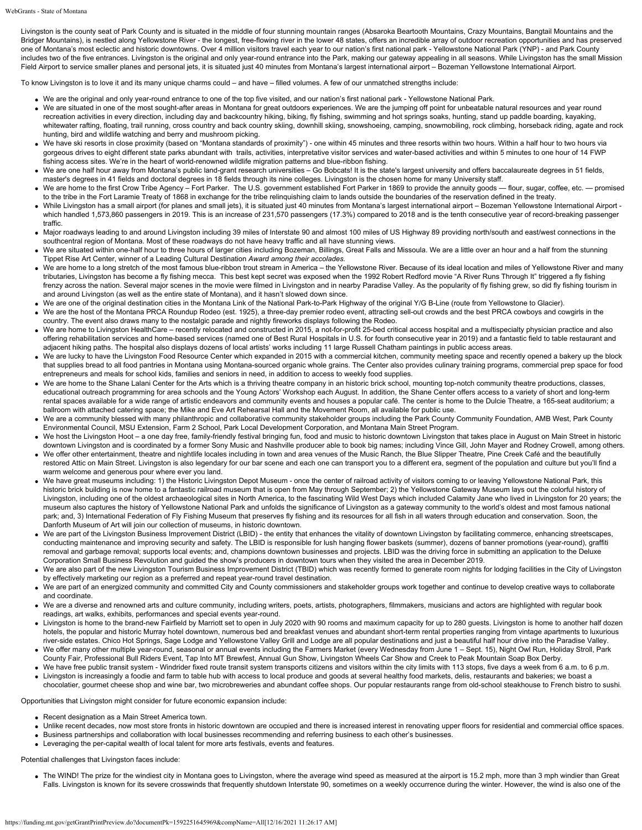Livingston is the county seat of Park County and is situated in the middle of four stunning mountain ranges (Absaroka Beartooth Mountains, Crazy Mountains, Bangtail Mountains and the Bridger Mountains), is nestled along Yellowstone River - the longest, free-flowing river in the lower 48 states, offers an incredible array of outdoor recreation opportunities and has preserved one of Montana's most eclectic and historic downtowns. Over 4 million visitors travel each year to our nation's first national park - Yellowstone National Park (YNP) - and Park County includes two of the five entrances. Livingston is the original and only year-round entrance into the Park, making our gateway appealing in all seasons. While Livingston has the small Mission Field Airport to service smaller planes and personal jets, it is situated just 40 minutes from Montana's largest international airport – Bozeman Yellowstone International Airport.

To know Livingston is to love it and its many unique charms could – and have – filled volumes. A few of our unmatched strengths include:

- We are the original and only year-round entrance to one of the top five visited, and our nation's first national park Yellowstone National Park.
- We are situated in one of the most sought-after areas in Montana for great outdoors experiences. We are the jumping off point for unbeatable natural resources and year round recreation activities in every direction, including day and backcountry hiking, biking, fly fishing, swimming and hot springs soaks, hunting, stand up paddle boarding, kayaking, whitewater rafting, floating, trail running, cross country and back country skiing, downhill skiing, snowshoeing, camping, snowmobiling, rock climbing, horseback riding, agate and rock hunting, bird and wildlife watching and berry and mushroom picking.
- We have ski resorts in close proximity (based on "Montana standards of proximity") one within 45 minutes and three resorts within two hours. Within a half hour to two hours via gorgeous drives to eight different state parks abundant with trails, activities, interpretative visitor services and water-based activities and within 5 minutes to one hour of 14 FWP fishing access sites. We're in the heart of world-renowned wildlife migration patterns and blue-ribbon fishing.
- We are one half hour away from Montana's public land-grant research universities Go Bobcats! It is the state's largest university and offers baccalaureate degrees in 51 fields, master's degrees in 41 fields and doctoral degrees in 18 fields through its nine colleges. Livingston is the chosen home for many University staff.
- We are home to the first Crow Tribe Agency Fort Parker. The U.S. government established Fort Parker in 1869 to provide the annuity goods flour, sugar, coffee, etc. promised to the tribe in the Fort Laramie Treaty of 1868 in exchange for the tribe relinquishing claim to lands outside the boundaries of the reservation defined in the treaty.
- While Livingston has a small airport (for planes and small jets), it is situated just 40 minutes from Montana's largest international airport Bozeman Yellowstone International Airport which handled 1,573,860 passengers in 2019. This is an increase of 231,570 passengers (17.3%) compared to 2018 and is the tenth consecutive year of record-breaking passenger traffic.
- Major roadways leading to and around Livingston including 39 miles of Interstate 90 and almost 100 miles of US Highway 89 providing north/south and east/west connections in the southcentral region of Montana. Most of these roadways do not have heavy traffic and all have stunning views.
- We are situated within one-half hour to three hours of larger cities including Bozeman, Billings, Great Falls and Missoula. We are a little over an hour and a half from the stunning Tippet Rise Art Center, winner of a Leading Cultural Destination *Award among their accolades.*
- We are home to a long stretch of the most famous blue-ribbon trout stream in America the Yellowstone River. Because of its ideal location and miles of Yellowstone River and many tributaries, Livingston has become a fly fishing mecca. This best kept secret was exposed when the 1992 Robert Redford movie "A River Runs Through It" triggered a fly fishing frenzy across the nation. Several major scenes in the movie were filmed in Livingston and in nearby Paradise Valley. As the popularity of fly fishing grew, so did fly fishing tourism in and around Livingston (as well as the entire state of Montana), and it hasn't slowed down since.
- We are one of the original destination cities in the Montana Link of the National Park-to-Park Highway of the original Y/G B-Line (route from Yellowstone to Glacier).
- We are the host of the Montana PRCA Roundup Rodeo (est. 1925), a three-day premier rodeo event, attracting sell-out crowds and the best PRCA cowboys and cowgirls in the country. The event also draws many to the nostalgic parade and nightly fireworks displays following the Rodeo.
- We are home to Livingston HealthCare recently relocated and constructed in 2015, a not-for-profit 25-bed critical access hospital and a multispecialty physician practice and also offering rehabilitation services and home-based services (named one of Best Rural Hospitals in U.S. for fourth consecutive year in 2019) and a fantastic field to table restaurant and adjacent hiking paths. The hospital also displays dozens of local artists' works including 11 large Russell Chatham paintings in public access areas.
- We are lucky to have the Livingston Food Resource Center which expanded in 2015 with a commercial kitchen, community meeting space and recently opened a bakery up the block that supplies bread to all food pantries in Montana using Montana-sourced organic whole grains. The Center also provides culinary training programs, commercial prep space for food entrepreneurs and meals for school kids, families and seniors in need, in addition to access to weekly food supplies.
- We are home to the Shane Lalani Center for the Arts which is a thriving theatre company in an historic brick school, mounting top-notch community theatre productions, classes, educational outreach programming for area schools and the Young Actors' Workshop each August. In addition, the Shane Center offers access to a variety of short and long-term rental spaces available for a wide range of artistic endeavors and community events and houses a popular café. The center is home to the Dulcie Theatre, a 165-seat auditorium; a ballroom with attached catering space; the Mike and Eve Art Rehearsal Hall and the Movement Room, all available for public use.
- We are a community blessed with many philanthropic and collaborative community stakeholder groups including the Park County Community Foundation, AMB West, Park County Environmental Council, MSU Extension, Farm 2 School, Park Local Development Corporation, and Montana Main Street Program.
- We host the Livingston Hoot a one day free, family-friendly festival bringing fun, food and music to historic downtown Livingston that takes place in August on Main Street in historic downtown Livingston and is coordinated by a former Sony Music and Nashville producer able to book big names; including Vince Gill, John Mayer and Rodney Crowell, among others.
- We offer other entertainment, theatre and nightlife locales including in town and area venues of the Music Ranch, the Blue Slipper Theatre, Pine Creek Café and the beautifully restored Attic on Main Street. Livingston is also legendary for our bar scene and each one can transport you to a different era, segment of the population and culture but you'll find a warm welcome and generous pour where ever you land.
- We have great museums including: 1) the Historic Livingston Depot Museum once the center of railroad activity of visitors coming to or leaving Yellowstone National Park, this historic brick building is now home to a fantastic railroad museum that is open from May through September; 2) the Yellowstone Gateway Museum lays out the colorful history of Livingston, including one of the oldest archaeological sites in North America, to the fascinating Wild West Days which included Calamity Jane who lived in Livingston for 20 years; the museum also captures the history of Yellowstone National Park and unfolds the significance of Livingston as a gateway community to the world's oldest and most famous national park; and, 3) International Federation of Fly Fishing Museum that preserves fly fishing and its resources for all fish in all waters through education and conservation. Soon, the Danforth Museum of Art will join our collection of museums, in historic downtown.
- We are part of the Livingston Business Improvement District (LBID) the entity that enhances the vitality of downtown Livingston by facilitating commerce, enhancing streetscapes, conducting maintenance and improving security and safety. The LBID is responsible for lush hanging flower baskets (summer), dozens of banner promotions (year-round), graffiti removal and garbage removal; supports local events; and, champions downtown businesses and projects. LBID was the driving force in submitting an application to the Deluxe Corporation Small Business Revolution and guided the show's producers in downtown tours when they visited the area in December 2019.
- We are also part of the new Livingston Tourism Business Improvement District (TBID) which was recently formed to generate room nights for lodging facilities in the City of Livingston by effectively marketing our region as a preferred and repeat year-round travel destination.
- We are part of an energized community and committed City and County commissioners and stakeholder groups work together and continue to develop creative ways to collaborate and coordinate.
- We are a diverse and renowned arts and culture community, including writers, poets, artists, photographers, filmmakers, musicians and actors are highlighted with regular book readings, art walks, exhibits, performances and special events year-round.
- Livingston is home to the brand-new Fairfield by Marriott set to open in July 2020 with 90 rooms and maximum capacity for up to 280 guests. Livingston is home to another half dozen hotels, the popular and historic Murray hotel downtown, numerous bed and breakfast venues and abundant short-term rental properties ranging from vintage apartments to luxurious river-side estates. Chico Hot Springs, Sage Lodge and Yellowstone Valley Grill and Lodge are all popular destinations and just a beautiful half hour drive into the Paradise Valley.
- We offer many other multiple year-round, seasonal or annual events including the Farmers Market (every Wednesday from June 1 Sept. 15), Night Owl Run, Holiday Stroll, Park County Fair, Professional Bull Riders Event, Tap Into MT Brewfest, Annual Gun Show, Livingston Wheels Car Show and Creek to Peak Mountain Soap Box Derby.
- We have free public transit system Windrider fixed route transit system transports citizens and visitors within the city limits with 113 stops, five days a week from 6 a.m. to 6 p.m. Livingston is increasingly a foodie and farm to table hub with access to local produce and goods at several healthy food markets, delis, restaurants and bakeries; we boast a
- chocolatier, gourmet cheese shop and wine bar, two microbreweries and abundant coffee shops. Our popular restaurants range from old-school steakhouse to French bistro to sushi.

Opportunities that Livingston might consider for future economic expansion include:

- Recent designation as a Main Street America town.
- Unlike recent decades, now most store fronts in historic downtown are occupied and there is increased interest in renovating upper floors for residential and commercial office spaces. Business partnerships and collaboration with local businesses recommending and referring business to each other's businesses.
- Leveraging the per-capital wealth of local talent for more arts festivals, events and features.

Potential challenges that Livingston faces include:

• The WIND! The prize for the windiest city in Montana goes to Livingston, where the average wind speed as measured at the airport is 15.2 mph, more than 3 mph windier than Great Falls. Livingston is known for its severe crosswinds that frequently shutdown Interstate 90, sometimes on a weekly occurrence during the winter. However, the wind is also one of the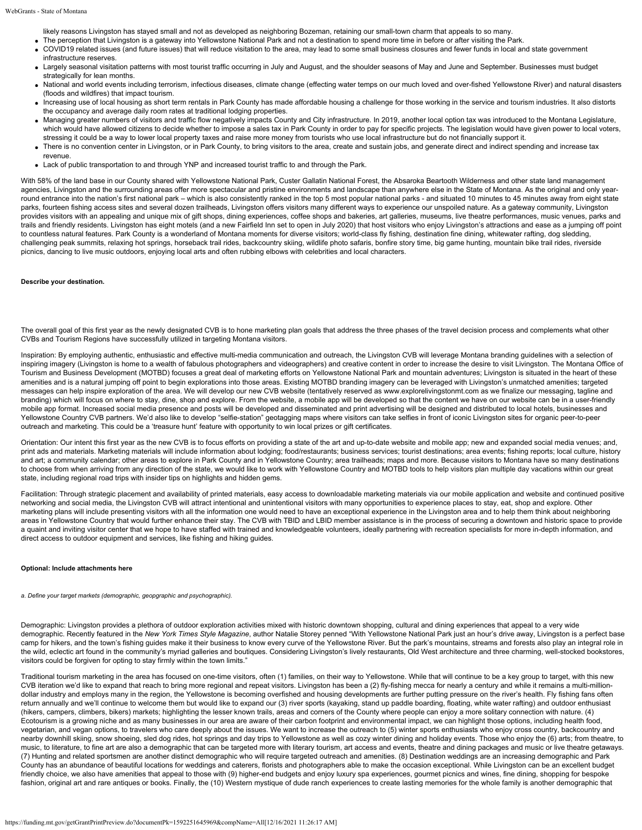likely reasons Livingston has stayed small and not as developed as neighboring Bozeman, retaining our small-town charm that appeals to so many.

- The perception that Livingston is a gateway into Yellowstone National Park and not a destination to spend more time in before or after visiting the Park.
- COVID19 related issues (and future issues) that will reduce visitation to the area, may lead to some small business closures and fewer funds in local and state government infrastructure reserves.
- Largely seasonal visitation patterns with most tourist traffic occurring in July and August, and the shoulder seasons of May and June and September. Businesses must budget strategically for lean months.
- National and world events including terrorism, infectious diseases, climate change (effecting water temps on our much loved and over-fished Yellowstone River) and natural disasters (floods and wildfires) that impact tourism.
- Increasing use of local housing as short term rentals in Park County has made affordable housing a challenge for those working in the service and tourism industries. It also distorts the occupancy and average daily room rates at traditional lodging properties.
- Managing greater numbers of visitors and traffic flow negatively impacts County and City infrastructure. In 2019, another local option tax was introduced to the Montana Legislature, which would have allowed citizens to decide whether to impose a sales tax in Park County in order to pay for specific projects. The legislation would have given power to local voters, stressing it could be a way to lower local property taxes and raise more money from tourists who use local infrastructure but do not financially support it.
- There is no convention center in Livingston, or in Park County, to bring visitors to the area, create and sustain jobs, and generate direct and indirect spending and increase tax revenue.
- Lack of public transportation to and through YNP and increased tourist traffic to and through the Park.

With 58% of the land base in our County shared with Yellowstone National Park, Custer Gallatin National Forest, the Absaroka Beartooth Wilderness and other state land management agencies, Livingston and the surrounding areas offer more spectacular and pristine environments and landscape than anywhere else in the State of Montana. As the original and only yearround entrance into the nation's first national park - which is also consistently ranked in the top 5 most popular national parks - and situated 10 minutes to 45 minutes away from eight state parks, fourteen fishing access sites and several dozen trailheads, Livingston offers visitors many different ways to experience our unspoiled nature. As a gateway community, Livingston provides visitors with an appealing and unique mix of gift shops, dining experiences, coffee shops and bakeries, art galleries, museums, live theatre performances, music venues, parks and trails and friendly residents. Livingston has eight motels (and a new Fairfield Inn set to open in July 2020) that host visitors who enjoy Livingston's attractions and ease as a jumping off point to countless natural features. Park County is a wonderland of Montana moments for diverse visitors; world-class fly fishing, destination fine dining, whitewater rafting, dog sledding, challenging peak summits, relaxing hot springs, horseback trail rides, backcountry skiing, wildlife photo safaris, bonfire story time, big game hunting, mountain bike trail rides, riverside picnics, dancing to live music outdoors, enjoying local arts and often rubbing elbows with celebrities and local characters.

#### **Describe your destination.**

The overall goal of this first year as the newly designated CVB is to hone marketing plan goals that address the three phases of the travel decision process and complements what other CVBs and Tourism Regions have successfully utilized in targeting Montana visitors.

Inspiration: By employing authentic, enthusiastic and effective multi-media communication and outreach, the Livingston CVB will leverage Montana branding quidelines with a selection of inspiring imagery (Livingston is home to a wealth of fabulous photographers and videographers) and creative content in order to increase the desire to visit Livingston. The Montana Office of Tourism and Business Development (MOTBD) focuses a great deal of marketing efforts on Yellowstone National Park and mountain adventures; Livingston is situated in the heart of these amenities and is a natural jumping off point to begin explorations into those areas. Existing MOTBD branding imagery can be leveraged with Livingston's unmatched amenities; targeted messages can help inspire exploration of the area. We will develop our new CVB website (tentatively reserved as [www.explorelivingstonmt.com](http://www.explorelivingstonmt.com/) as we finalize our messaging, tagline and branding) which will focus on where to stay, dine, shop and explore. From the website, a mobile app will be developed so that the content we have on our website can be in a user-friendly mobile app format. Increased social media presence and posts will be developed and disseminated and print advertising will be designed and distributed to local hotels, businesses and Yellowstone Country CVB partners. We'd also like to develop "selfie-station" geotagging maps where visitors can take selfies in front of iconic Livingston sites for organic peer-to-peer outreach and marketing. This could be a 'treasure hunt' feature with opportunity to win local prizes or gift certificates.

Orientation: Our intent this first year as the new CVB is to focus efforts on providing a state of the art and up-to-date website and mobile app; new and expanded social media venues; and, print ads and materials. Marketing materials will include information about lodging; food/restaurants; business services; tourist destinations; area events; fishing reports; local culture, history .<br>and art; a community calendar; other areas to explore in Park County and in Yellowstone Country; area trailheads; maps and more. Because visitors to Montana have so many destinations to choose from when arriving from any direction of the state, we would like to work with Yellowstone Country and MOTBD tools to help visitors plan multiple day vacations within our great state, including regional road trips with insider tips on highlights and hidden gems.

Facilitation: Through strategic placement and availability of printed materials, easy access to downloadable marketing materials via our mobile application and website and continued positive networking and social media, the Livingston CVB will attract intentional and unintentional visitors with many opportunities to experience places to stay, eat, shop and explore. Other marketing plans will include presenting visitors with all the information one would need to have an exceptional experience in the Livingston area and to help them think about neighboring areas in Yellowstone Country that would further enhance their stay. The CVB with TBID and LBID member assistance is in the process of securing a downtown and historic space to provide a quaint and inviting visitor center that we hope to have staffed with trained and knowledgeable volunteers, ideally partnering with recreation specialists for more in-depth information, and direct access to outdoor equipment and services, like fishing and hiking guides.

#### **Optional: Include attachments here**

*a. Define your target markets (demographic, geopgraphic and psychographic).*

Demographic: Livingston provides a plethora of outdoor exploration activities mixed with historic downtown shopping, cultural and dining experiences that appeal to a very wide demographic. Recently featured in the *New York Times Style Magazine*, author Natalie Storey penned "With Yellowstone National Park just an hour's drive away, Livingston is a perfect base camp for hikers, and the town's fishing guides make it their business to know every curve of the Yellowstone River. But the park's mountains, streams and forests also play an integral role in the wild, eclectic art found in the community's myriad galleries and boutiques. Considering Livingston's lively restaurants, Old West architecture and three charming, well-stocked bookstores, visitors could be forgiven for opting to stay firmly within the town limits."

Traditional tourism marketing in the area has focused on one-time visitors, often (1) families, on their way to Yellowstone. While that will continue to be a key group to target, with this new CVB iteration we'd like to expand that reach to bring more regional and repeat visitors. Livingston has been a (2) fly-fishing mecca for nearly a century and while it remains a multi-milliondollar industry and employs many in the region, the Yellowstone is becoming overfished and housing developments are further putting pressure on the river's health. Fly fishing fans often return annually and we'll continue to welcome them but would like to expand our (3) river sports (kayaking, stand up paddle boarding, floating, white water rafting) and outdoor enthusiast (hikers, campers, climbers, bikers) markets; highlighting the lesser known trails, areas and corners of the County where people can enjoy a more solitary connection with nature. (4) Ecotourism is a growing niche and as many businesses in our area are aware of their carbon footprint and environmental impact, we can highlight those options, including health food, vegetarian, and vegan options, to travelers who care deeply about the issues. We want to increase the outreach to (5) winter sports enthusiasts who enjoy cross country, backcountry and nearby downhill skiing, snow shoeing, sled dog rides, hot springs and day trips to Yellowstone as well as cozy winter dining and holiday events. Those who enjoy the (6) arts; from theatre, to music, to literature, to fine art are also a demographic that can be targeted more with literary tourism, art access and events, theatre and dining packages and music or live theatre getaways. (7) Hunting and related sportsmen are another distinct demographic who will require targeted outreach and amenities. (8) Destination weddings are an increasing demographic and Park County has an abundance of beautiful locations for weddings and caterers, florists and photographers able to make the occasion exceptional. While Livingston can be an excellent budget friendly choice, we also have amenities that appeal to those with (9) higher-end budgets and enjoy luxury spa experiences, gourmet picnics and wines, fine dining, shopping for bespoke fashion, original art and rare antiques or books. Finally, the (10) Western mystique of dude ranch experiences to create lasting memories for the whole family is another demographic that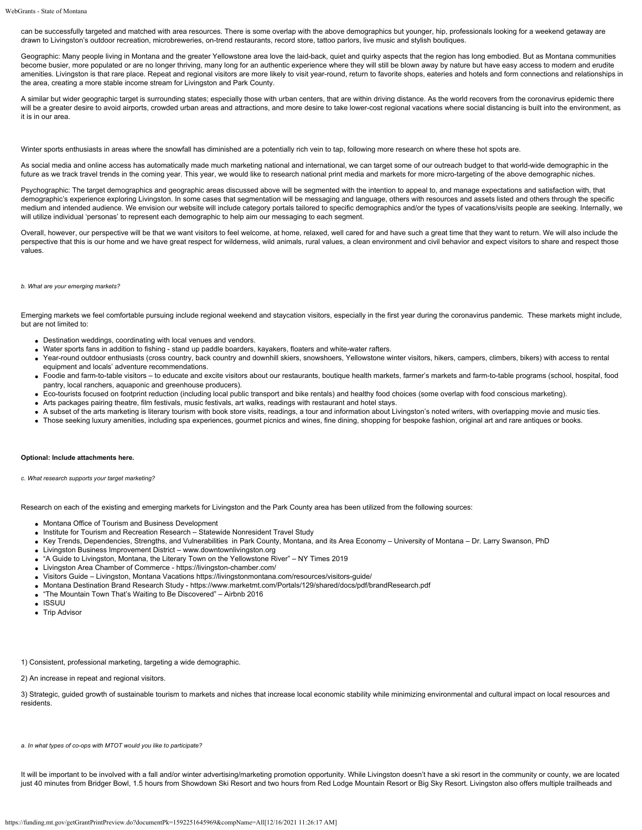can be successfully targeted and matched with area resources. There is some overlap with the above demographics but younger, hip, professionals looking for a weekend getaway are drawn to Livingston's outdoor recreation, microbreweries, on-trend restaurants, record store, tattoo parlors, live music and stylish boutiques.

Geographic: Many people living in Montana and the greater Yellowstone area love the laid-back, quiet and quirky aspects that the region has long embodied. But as Montana communities become busier, more populated or are no longer thriving, many long for an authentic experience where they will still be blown away by nature but have easy access to modern and erudite amenities. Livingston is that rare place. Repeat and regional visitors are more likely to visit year-round, return to favorite shops, eateries and hotels and form connections and relationships in the area, creating a more stable income stream for Livingston and Park County.

A similar but wider geographic target is surrounding states; especially those with urban centers, that are within driving distance. As the world recovers from the coronavirus epidemic there will be a greater desire to avoid airports, crowded urban areas and attractions, and more desire to take lower-cost regional vacations where social distancing is built into the environment, as it is in our area.

Winter sports enthusiasts in areas where the snowfall has diminished are a potentially rich vein to tap, following more research on where these hot spots are.

As social media and online access has automatically made much marketing national and international, we can target some of our outreach budget to that world-wide demographic in the future as we track travel trends in the coming year. This year, we would like to research national print media and markets for more micro-targeting of the above demographic niches.

Psychographic: The target demographics and geographic areas discussed above will be segmented with the intention to appeal to, and manage expectations and satisfaction with, that demographic's experience exploring Livingston. In some cases that segmentation will be messaging and language, others with resources and assets listed and others through the specific medium and intended audience. We envision our website will include category portals tailored to specific demographics and/or the types of vacations/visits people are seeking. Internally, we will utilize individual 'personas' to represent each demographic to help aim our messaging to each segment.

Overall, however, our perspective will be that we want visitors to feel welcome, at home, relaxed, well cared for and have such a great time that they want to return. We will also include the perspective that this is our home and we have great respect for wilderness, wild animals, rural values, a clean environment and civil behavior and expect visitors to share and respect those values.

#### *b. What are your emerging markets?*

Emerging markets we feel comfortable pursuing include regional weekend and staycation visitors, especially in the first year during the coronavirus pandemic. These markets might include, but are not limited to:

- Destination weddings, coordinating with local venues and vendors.
- Water sports fans in addition to fishing stand up paddle boarders, kayakers, floaters and white-water rafters.
- Year-round outdoor enthusiasts (cross country, back country and downhill skiers, snowshoers, Yellowstone winter visitors, hikers, campers, climbers, bikers) with access to rental equipment and locals' adventure recommendations.
- Foodie and farm-to-table visitors to educate and excite visitors about our restaurants, boutique health markets, farmer's markets and farm-to-table programs (school, hospital, food pantry, local ranchers, aquaponic and greenhouse producers).
- Eco-tourists focused on footprint reduction (including local public transport and bike rentals) and healthy food choices (some overlap with food conscious marketing).
- Arts packages pairing theatre, film festivals, music festivals, art walks, readings with restaurant and hotel stays.
- A subset of the arts marketing is literary tourism with book store visits, readings, a tour and information about Livingston's noted writers, with overlapping movie and music ties.
- Those seeking luxury amenities, including spa experiences, gourmet picnics and wines, fine dining, shopping for bespoke fashion, original art and rare antiques or books.

#### **Optional: Include attachments here.**

*c. What research supports your target marketing?*

Research on each of the existing and emerging markets for Livingston and the Park County area has been utilized from the following sources:

- Montana Office of Tourism and Business Development
- Institute for Tourism and Recreation Research Statewide Nonresident Travel Study
- Key Trends, Dependencies, Strengths, and Vulnerabilities in Park County, Montana, and its Area Economy University of Montana Dr. Larry Swanson, PhD
- Livingston Business Improvement District [www.downtownlivingston.org](http://www.downtownlivingston.org/)
- "A Guide to Livingston, Montana, the Literary Town on the Yellowstone River" NY Times 2019
- Livingston Area Chamber of Commerce -<https://livingston-chamber.com/>
- Visitors Guide Livingston, Montana Vacations<https://livingstonmontana.com/resources/visitors-guide/>
- Montana Destination Brand Research Study -<https://www.marketmt.com/Portals/129/shared/docs/pdf/brandResearch.pdf>
- "The Mountain Town That's Waiting to Be Discovered" Airbnb 2016
- ISSUU
- Trip Advisor

1) Consistent, professional marketing, targeting a wide demographic.

2) An increase in repeat and regional visitors.

3) Strategic, guided growth of sustainable tourism to markets and niches that increase local economic stability while minimizing environmental and cultural impact on local resources and residents.

*a. In what types of co-ops with MTOT would you like to participate?*

It will be important to be involved with a fall and/or winter advertising/marketing promotion opportunity. While Livingston doesn't have a ski resort in the community or county, we are located just 40 minutes from Bridger Bowl, 1.5 hours from Showdown Ski Resort and two hours from Red Lodge Mountain Resort or Big Sky Resort. Livingston also offers multiple trailheads and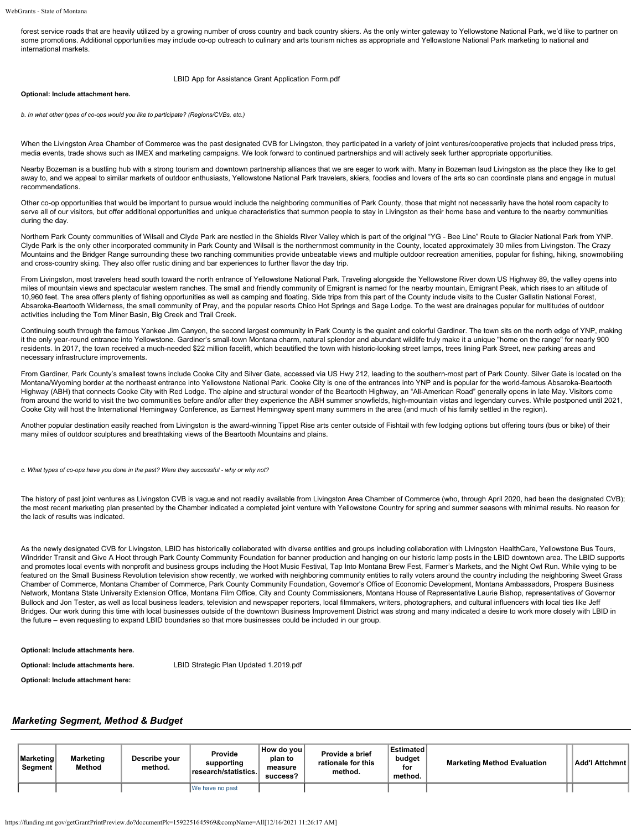forest service roads that are heavily utilized by a growing number of cross country and back country skiers. As the only winter gateway to Yellowstone National Park, we'd like to partner on some promotions. Additional opportunities may include co-op outreach to culinary and arts tourism niches as appropriate and Yellowstone National Park marketing to national and international markets.

### [LBID App for Assistance Grant Application Form.pdf](https://funding.mt.gov/fileDownload.jsp?filename=1588170317406_LBID+App+for+Assistance+Grant+Application+Form.pdf)

### **Optional: Include attachment here.**

*b. In what other types of co-ops would you like to participate? (Regions/CVBs, etc.)*

When the Livingston Area Chamber of Commerce was the past designated CVB for Livingston, they participated in a variety of joint ventures/cooperative projects that included press trips, media events, trade shows such as IMEX and marketing campaigns. We look forward to continued partnerships and will actively seek further appropriate opportunities.

Nearby Bozeman is a bustling hub with a strong tourism and downtown partnership alliances that we are eager to work with. Many in Bozeman laud Livingston as the place they like to get away to, and we appeal to similar markets of outdoor enthusiasts, Yellowstone National Park travelers, skiers, foodies and lovers of the arts so can coordinate plans and engage in mutual recommendations.

Other co-op opportunities that would be important to pursue would include the neighboring communities of Park County, those that might not necessarily have the hotel room capacity to serve all of our visitors, but offer additional opportunities and unique characteristics that summon people to stay in Livingston as their home base and venture to the nearby communities during the day.

Northern Park County communities of Wilsall and Clyde Park are nestled in the Shields River Valley which is part of the original "YG - Bee Line" Route to Glacier National Park from YNP. Clyde Park is the only other incorporated community in Park County and Wilsall is the northernmost community in the County, located approximately 30 miles from Livingston. The Crazy Mountains and the Bridger Range surrounding these two ranching communities provide unbeatable views and multiple outdoor recreation amenities, popular for fishing, hiking, snowmobiling and cross-country skiing. They also offer rustic dining and bar experiences to further flavor the day trip.

From Livingston, most travelers head south toward the north entrance of Yellowstone National Park. Traveling alongside the Yellowstone River down US Highway 89, the valley opens into miles of mountain views and spectacular western ranches. The small and friendly community of Emigrant is named for the nearby mountain, Emigrant Peak, which rises to an altitude of 10,960 feet. The area offers plenty of fishing opportunities as well as camping and floating. Side trips from this part of the County include visits to the Custer Gallatin National Forest, Absaroka-Beartooth Wilderness, the small community of Pray, and the popular resorts Chico Hot Springs and Sage Lodge. To the west are drainages popular for multitudes of outdoor activities including the Tom Miner Basin, Big Creek and Trail Creek.

Continuing south through the famous Yankee Jim Canyon, the second largest community in Park County is the quaint and colorful Gardiner. The town sits on the north edge of YNP, making it the only year-round entrance into Yellowstone. Gardiner's small-town Montana charm, natural splendor and abundant wildlife truly make it a unique "home on the range" for nearly 900 residents. In 2017, the town received a much-needed \$22 million facelift, which beautified the town with historic-looking street lamps, trees lining Park Street, new parking areas and necessary infrastructure improvements.

From Gardiner, Park County's smallest towns include Cooke City and Silver Gate, accessed via US Hwy 212, leading to the southern-most part of Park County. Silver Gate is located on the Montana/Wyoming border at the northeast entrance into Yellowstone National Park. Cooke City is one of the entrances into YNP and is popular for the world-famous Absaroka-Beartooth Highway (ABH) that connects Cooke City with Red Lodge. The alpine and structural wonder of the Beartooth Highway, an "All-American Road" generally opens in late May. Visitors come from around the world to visit the two communities before and/or after they experience the ABH summer snowfields, high-mountain vistas and legendary curves. While postponed until 2021, Cooke City will host the International Hemingway Conference, as Earnest Hemingway spent many summers in the area (and much of his family settled in the region).

Another popular destination easily reached from Livingston is the award-winning Tippet Rise arts center outside of Fishtail with few lodging options but offering tours (bus or bike) of their many miles of outdoor sculptures and breathtaking views of the Beartooth Mountains and plains.

*c. What types of co-ops have you done in the past? Were they successful - why or why not?*

The history of past ioint ventures as Livingston CVB is vague and not readily available from Livingston Area Chamber of Commerce (who, through April 2020, had been the designated CVB); the most recent marketing plan presented by the Chamber indicated a completed joint venture with Yellowstone Country for spring and summer seasons with minimal results. No reason for the lack of results was indicated.

As the newly designated CVB for Livingston, LBID has historically collaborated with diverse entities and groups including collaboration with Livingston HealthCare, Yellowstone Bus Tours, Windrider Transit and Give A Hoot through Park County Community Foundation for banner production and hanging on our historic lamp posts in the LBID downtown area. The LBID supports and promotes local events with nonprofit and business groups including the Hoot Music Festival, Tap Into Montana Brew Fest, Farmer's Markets, and the Night Owl Run. While vying to be featured on the Small Business Revolution television show recently, we worked with neighboring community entities to rally voters around the country including the neighboring Sweet Grass Chamber of Commerce, Montana Chamber of Commerce, Park County Community Foundation, Governor's Office of Economic Development, Montana Ambassadors, Prospera Business Network, Montana State University Extension Office, Montana Film Office, City and County Commissioners, Montana House of Representative Laurie Bishop, representatives of Governor Bullock and Jon Tester, as well as local business leaders, television and newspaper reporters, local filmmakers, writers, photographers, and cultural influencers with local ties like Jeff Bridges. Our work during this time with local businesses outside of the downtown Business Improvement District was strong and many indicated a desire to work more closely with LBID in the future – even requesting to expand LBID boundaries so that more businesses could be included in our group.

### **Optional: Include attachments here.**

**Optional: Include attachments here.** [LBID Strategic Plan Updated 1.2019.pdf](https://funding.mt.gov/fileDownload.jsp?filename=1588170317392_LBID+Strategic+Plan+Updated+1.2019.pdf)

**Optional: Include attachment here:**

## *Marketing Segment, Method & Budget*

| <b>∣Marketing</b><br>Segment | Marketing<br>Method | Describe vour<br>method. | Provide<br>supporting<br>research/statistics. | How do voul<br>plan to<br>measure<br>success? | Provide a brief<br>rationale for this<br>method. | Estimated<br>budget<br>for<br>method. | <b>Marketing Method Evaluation</b> | Add'I Attchmnt |
|------------------------------|---------------------|--------------------------|-----------------------------------------------|-----------------------------------------------|--------------------------------------------------|---------------------------------------|------------------------------------|----------------|
|                              |                     |                          | IWe have no past                              |                                               |                                                  |                                       |                                    |                |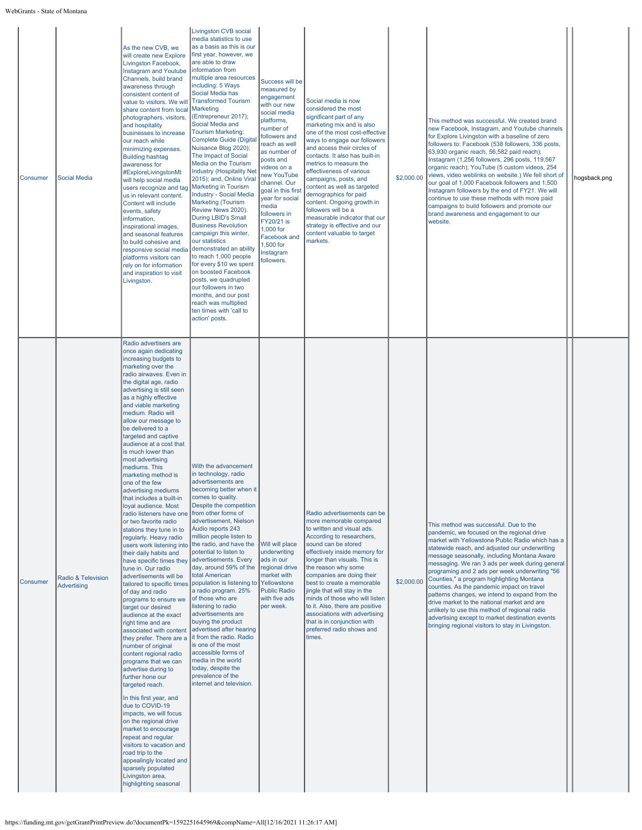WebGrants - State of Montana

| Consumer | <b>Social Media</b>                      | As the new CVB, we<br>will create new Explore<br>Livingston Facebook,<br><b>Instagram and Youtube</b><br>Channels, build brand<br>awareness through<br>consistent content of<br>value to visitors. We will<br>share content from local<br>photographers, visitors,<br>and hospitality<br>businesses to increase<br>our reach while<br>minimizing expenses.<br><b>Building hashtag</b><br>awareness for<br>#ExploreLivingstonMt<br>will help social media<br>users recognize and tag<br>us in relevant content.<br>Content will include<br>events, safety<br>information,<br>inspirational images,<br>and seasonal features<br>to build cohesive and<br>responsive social media<br>platforms visitors can<br>rely on for information<br>and inspiration to visit<br>Livingston.                                                                                                                                                                                                                                                                                                                                                                                                                                                                                                                                                                                                                                               | <b>Livingston CVB social</b><br>media statistics to use<br>as a basis as this is our<br>first year, however, we<br>are able to draw<br>information from<br>multiple area resources<br>including: 5 Ways<br>Social Media has<br><b>Transformed Tourism</b><br>Marketing<br>(Entrepreneur 2017);<br>Social Media and<br><b>Tourism Marketing:</b><br><b>Complete Guide (Digital</b><br>Nuisance Blog 2020);<br>The Impact of Social<br>Media on the Tourism<br><b>Industry (Hospitality Net</b><br>2015); and, Online Viral<br><b>Marketing in Tourism</b><br><b>Industry - Social Media</b><br><b>Marketing (Tourism</b><br>Review News 2020).<br>During LBID's Small<br><b>Business Revolution</b><br>campaign this winter,<br>our statistics<br>demonstrated an ability<br>to reach 1,000 people<br>for every \$10 we spent<br>on boosted Facebook<br>posts, we quadrupled<br>our followers in two<br>months, and our post<br>reach was multiplied<br>ten times with 'call to<br>action' posts. | Success will be<br>measured by<br>engagement<br>with our new<br>social media<br>platforms,<br>number of<br>followers and<br>reach as well<br>as number of<br>posts and<br>videos on a<br>new YouTube<br>channel. Our<br>goal in this first<br>year for social<br>media<br>followers in<br>FY20/21 is<br>1,000 for<br>Facebook and<br>1,500 for<br>Instagram<br>followers. | Social media is now<br>considered the most<br>significant part of any<br>marketing mix and is also<br>one of the most cost-effective<br>ways to engage our followers<br>and access their circles of<br>contacts. It also has built-in<br>metrics to measure the<br>effectiveness of various<br>campaigns, posts, and<br>content as well as targeted<br>demographics for paid<br>content. Ongoing growth in<br>followers will be a<br>measurable indicator that our<br>strategy is effective and our<br>content valuable to target<br>markets. | \$2,000.00 | This method was successful. We created brand<br>new Facebook, Instagram, and Youtube channels<br>for Explore Livingston with a baseline of zero<br>followers to: Facebook (538 followers, 336 posts,<br>63,930 organic reach, 56,582 paid reach);<br>Instagram (1,256 followers, 296 posts, 119,567<br>organic reach); YouTube (5 custom videos, 254<br>views, video weblinks on website.) We fell short of<br>our goal of 1,000 Facebook followers and 1,500<br>Instagram followers by the end of FY21. We will<br>continue to use these methods with more paid<br>campaigns to build followers and promote our<br>brand awareness and engagement to our<br>website.                               | hogsback.png |  |
|----------|------------------------------------------|------------------------------------------------------------------------------------------------------------------------------------------------------------------------------------------------------------------------------------------------------------------------------------------------------------------------------------------------------------------------------------------------------------------------------------------------------------------------------------------------------------------------------------------------------------------------------------------------------------------------------------------------------------------------------------------------------------------------------------------------------------------------------------------------------------------------------------------------------------------------------------------------------------------------------------------------------------------------------------------------------------------------------------------------------------------------------------------------------------------------------------------------------------------------------------------------------------------------------------------------------------------------------------------------------------------------------------------------------------------------------------------------------------------------------|--------------------------------------------------------------------------------------------------------------------------------------------------------------------------------------------------------------------------------------------------------------------------------------------------------------------------------------------------------------------------------------------------------------------------------------------------------------------------------------------------------------------------------------------------------------------------------------------------------------------------------------------------------------------------------------------------------------------------------------------------------------------------------------------------------------------------------------------------------------------------------------------------------------------------------------------------------------------------------------------------|---------------------------------------------------------------------------------------------------------------------------------------------------------------------------------------------------------------------------------------------------------------------------------------------------------------------------------------------------------------------------|-----------------------------------------------------------------------------------------------------------------------------------------------------------------------------------------------------------------------------------------------------------------------------------------------------------------------------------------------------------------------------------------------------------------------------------------------------------------------------------------------------------------------------------------------|------------|-----------------------------------------------------------------------------------------------------------------------------------------------------------------------------------------------------------------------------------------------------------------------------------------------------------------------------------------------------------------------------------------------------------------------------------------------------------------------------------------------------------------------------------------------------------------------------------------------------------------------------------------------------------------------------------------------------|--------------|--|
| Consumer | Radio & Television<br><b>Advertising</b> | Radio advertisers are<br>once again dedicating<br>increasing budgets to<br>marketing over the<br>radio airwaves. Even in<br>the digital age, radio<br>advertising is still seen<br>as a highly effective<br>and viable marketing<br>medium. Radio will<br>allow our message to<br>be delivered to a<br>targeted and captive<br>audience at a cost that<br>is much lower than<br>most advertising<br>mediums. This<br>marketing method is<br>one of the few<br>advertising mediums<br>that includes a built-in<br>loyal audience. Most<br>radio listeners have one<br>or two favorite radio<br>stations they tune in to<br>regularly. Heavy radio<br>users work listening into<br>their daily habits and<br>have specific times they<br>tune in. Our radio<br>advertisements will be<br>tailored to specific times<br>of day and radio<br>programs to ensure we<br>target our desired<br>audience at the exact<br>right time and are<br>associated with content<br>they prefer. There are a<br>number of original<br>content regional radio<br>programs that we can<br>advertise during to<br>further hone our<br>targeted reach.<br>In this first year, and<br>due to COVID-19<br>impacts, we will focus<br>on the regional drive<br>market to encourage<br>repeat and regular<br>visitors to vacation and<br>road trip to the<br>appealingly located and<br>sparsely populated<br>Livingston area,<br>highlighting seasonal | With the advancement<br>in technology, radio<br>advertisements are<br>becoming better when it  <br>comes to quality.<br>Despite the competition<br>from other forms of<br>advertisement, Nielson<br>Audio reports 243<br>million people listen to<br>the radio, and have the<br>potential to listen to<br>advertisements. Every<br>day, around 59% of the<br>total American<br>population is listening to<br>a radio program. 25%<br>of those who are<br>listening to radio<br>advertisements are<br>buying the product<br>advertised after hearing<br>it from the radio. Radio<br>is one of the most<br>accessible forms of<br>media in the world<br>today, despite the<br>prevalence of the<br>internet and television.                                                                                                                                                                                                                                                                        | Will will place<br>underwriting<br>ads in our<br>regional drive<br>market with<br>Yellowstone<br><b>Public Radio</b><br>with five ads<br>per week.                                                                                                                                                                                                                        | Radio advertisements can be<br>more memorable compared<br>to written and visual ads.<br>According to researchers,<br>sound can be stored<br>effectively inside memory for<br>longer than visuals. This is<br>the reason why some<br>companies are doing their<br>best to create a memorable<br>jingle that will stay in the<br>minds of those who will listen<br>to it. Also, there are positive<br>associations with advertising<br>that is in conjunction with<br>preferred radio shows and<br>times.                                       | \$2,000.00 | This method was successful. Due to the<br>pandemic, we focused on the regional drive<br>market with Yellowstone Public Radio which has a<br>statewide reach, and adjusted our underwriting<br>message seasonally, including Montana Aware<br>messaging. We ran 3 ads per week during general<br>programing and 2 ads per week underwriting "56<br>Counties," a program highlighting Montana<br>counties. As the pandemic impact on travel<br>patterns changes, we intend to expand from the<br>drive market to the national market and are<br>unlikely to use this method of regional radio<br>advertising except to market destination events<br>bringing regional visitors to stay in Livingston. |              |  |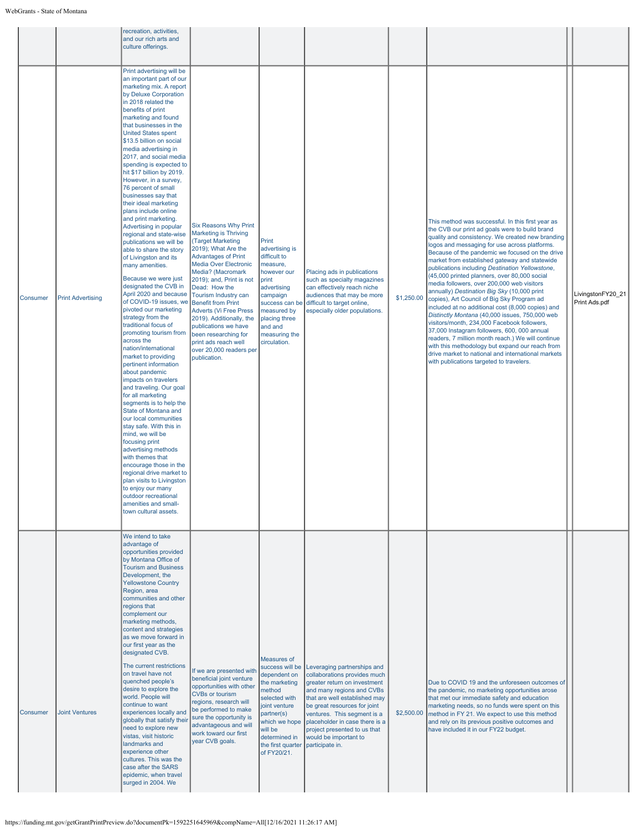|          |                          | recreation, activities,<br>and our rich arts and<br>culture offerings.                                                                                                                                                                                                                                                                                                                                                                                                                                                                                                                                                                                                                                                                                                                                                                                                                                                                                                                                                                                                                                                                                                                                                                                                                                                                                                                                                                          |                                                                                                                                                                                                                                                                                                                                                                                                                                                                               |                                                                                                                                                                                                            |                                                                                                                                                                                                                                                                                                                                        |            |                                                                                                                                                                                                                                                                                                                                                                                                                                                                                                                                                                                                                                                                                                                                                                                                                                                                                                                                                                           |                                    |
|----------|--------------------------|-------------------------------------------------------------------------------------------------------------------------------------------------------------------------------------------------------------------------------------------------------------------------------------------------------------------------------------------------------------------------------------------------------------------------------------------------------------------------------------------------------------------------------------------------------------------------------------------------------------------------------------------------------------------------------------------------------------------------------------------------------------------------------------------------------------------------------------------------------------------------------------------------------------------------------------------------------------------------------------------------------------------------------------------------------------------------------------------------------------------------------------------------------------------------------------------------------------------------------------------------------------------------------------------------------------------------------------------------------------------------------------------------------------------------------------------------|-------------------------------------------------------------------------------------------------------------------------------------------------------------------------------------------------------------------------------------------------------------------------------------------------------------------------------------------------------------------------------------------------------------------------------------------------------------------------------|------------------------------------------------------------------------------------------------------------------------------------------------------------------------------------------------------------|----------------------------------------------------------------------------------------------------------------------------------------------------------------------------------------------------------------------------------------------------------------------------------------------------------------------------------------|------------|---------------------------------------------------------------------------------------------------------------------------------------------------------------------------------------------------------------------------------------------------------------------------------------------------------------------------------------------------------------------------------------------------------------------------------------------------------------------------------------------------------------------------------------------------------------------------------------------------------------------------------------------------------------------------------------------------------------------------------------------------------------------------------------------------------------------------------------------------------------------------------------------------------------------------------------------------------------------------|------------------------------------|
| Consumer | <b>Print Advertising</b> | Print advertising will be<br>an important part of our<br>marketing mix. A report<br>by Deluxe Corporation<br>in 2018 related the<br>benefits of print<br>marketing and found<br>that businesses in the<br><b>United States spent</b><br>\$13.5 billion on social<br>media advertising in<br>2017, and social media<br>spending is expected to<br>hit \$17 billion by 2019.<br>However, in a survey,<br>76 percent of small<br>businesses say that<br>their ideal marketing<br>plans include online<br>and print marketing.<br>Advertising in popular<br>regional and state-wise<br>publications we will be<br>able to share the story<br>of Livingston and its<br>many amenities.<br>Because we were just<br>designated the CVB in<br>April 2020 and because<br>of COVID-19 issues, we<br>pivoted our marketing<br>strategy from the<br>traditional focus of<br>promoting tourism from<br>across the<br>nation/international<br>market to providing<br>pertinent information<br>about pandemic<br>impacts on travelers<br>and traveling. Our goal<br>for all marketing<br>segments is to help the<br>State of Montana and<br>our local communities<br>stay safe. With this in<br>mind, we will be<br>focusing print<br>advertising methods<br>with themes that<br>encourage those in the<br>regional drive market to<br>plan visits to Livingston<br>to enjoy our many<br>outdoor recreational<br>amenities and small-<br>town cultural assets. | <b>Six Reasons Why Print</b><br><b>Marketing is Thriving</b><br>(Target Marketing<br>2019); What Are the<br><b>Advantages of Print</b><br><b>Media Over Electronic</b><br>Media? (Macromark<br>2019); and, Print is not<br>Dead: How the<br>Tourism Industry can<br><b>Benefit from Print</b><br><b>Adverts (Vi Free Press</b><br>2019). Additionally, the<br>publications we have<br>been researching for<br>print ads reach well<br>over 20,000 readers per<br>publication. | Print<br>advertising is<br>difficult to<br>measure,<br>however our<br>print<br>advertising<br>campaign<br>success can be<br>measured by<br>placing three<br>and and<br>measuring the<br>circulation.       | Placing ads in publications<br>such as specialty magazines<br>can effectively reach niche<br>audiences that may be more<br>difficult to target online,<br>especially older populations.                                                                                                                                                | \$1,250.00 | This method was successful. In this first year as<br>the CVB our print ad goals were to build brand<br>quality and consistency. We created new branding<br>logos and messaging for use across platforms.<br>Because of the pandemic we focused on the drive<br>market from established gateway and statewide<br>publications including Destination Yellowstone,<br>(45,000 printed planners, over 80,000 social<br>media followers, over 200,000 web visitors<br>annually) Destination Big Sky (10,000 print<br>copies), Art Council of Big Sky Program ad<br>included at no additional cost (8,000 copies) and<br>Distinctly Montana (40,000 issues, 750,000 web<br>visitors/month, 234,000 Facebook followers,<br>37,000 Instagram followers, 600, 000 annual<br>readers, 7 million month reach.) We will continue<br>with this methodology but expand our reach from<br>drive market to national and international markets<br>with publications targeted to travelers. | LivingstonFY20_21<br>Print Ads.pdf |
| Consumer | <b>Joint Ventures</b>    | We intend to take<br>advantage of<br>opportunities provided<br>by Montana Office of<br><b>Tourism and Business</b><br>Development, the<br><b>Yellowstone Country</b><br>Region, area<br>communities and other<br>regions that<br>complement our<br>marketing methods,<br>content and strategies<br>as we move forward in<br>our first year as the<br>designated CVB.<br>The current restrictions<br>on travel have not<br>quenched people's<br>desire to explore the<br>world. People will<br>continue to want<br>experiences locally and<br>globally that satisfy their<br>need to explore new<br>vistas, visit historic<br>landmarks and<br>experience other<br>cultures. This was the<br>case after the SARS<br>epidemic, when travel<br>surged in 2004. We                                                                                                                                                                                                                                                                                                                                                                                                                                                                                                                                                                                                                                                                                  | If we are presented with<br>beneficial joint venture<br>opportunities with other<br><b>CVBs or tourism</b><br>regions, research will<br>be performed to make<br>sure the opportunity is<br>advantageous and will<br>work toward our first<br>year CVB goals.                                                                                                                                                                                                                  | Measures of<br>success will be<br>dependent on<br>the marketing<br>method<br>selected with<br>joint venture<br>partner(s)<br>which we hope<br>will be<br>determined in<br>the first quarter<br>of FY20/21. | Leveraging partnerships and<br>collaborations provides much<br>greater return on investment<br>and many regions and CVBs<br>that are well established may<br>be great resources for joint<br>ventures. This segment is a<br>placeholder in case there is a<br>project presented to us that<br>would be important to<br>participate in. | \$2,500.00 | Due to COVID 19 and the unforeseen outcomes of<br>the pandemic, no marketing opportunities arose<br>that met our immediate safety and education<br>marketing needs, so no funds were spent on this<br>method in FY 21. We expect to use this method<br>and rely on its previous positive outcomes and<br>have included it in our FY22 budget.                                                                                                                                                                                                                                                                                                                                                                                                                                                                                                                                                                                                                             |                                    |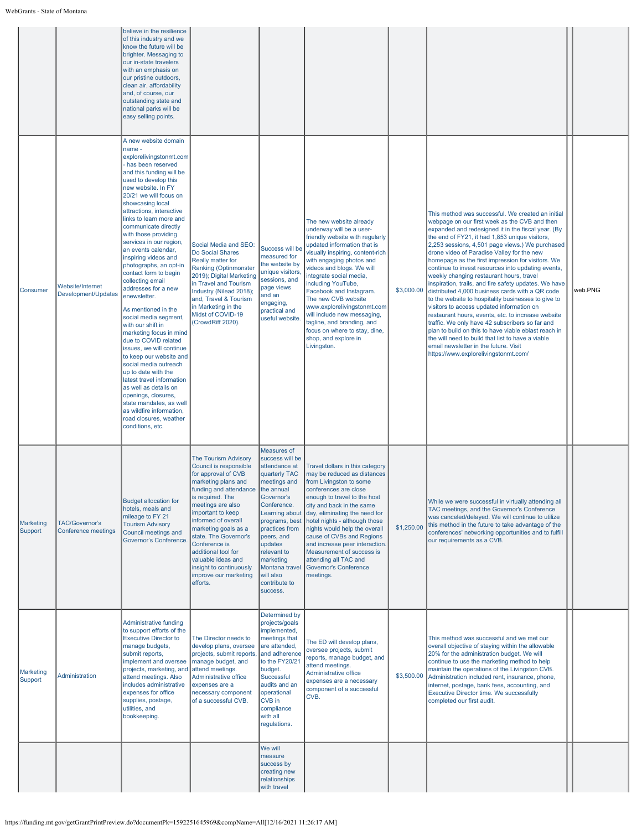|                      |                                              | believe in the resilience<br>of this industry and we<br>know the future will be<br>brighter. Messaging to<br>our in-state travelers<br>with an emphasis on<br>our pristine outdoors,<br>clean air, affordability<br>and, of course, our<br>outstanding state and<br>national parks will be<br>easy selling points.                                                                                                                                                                                                                                                                                                                                                                                                                                                                                                                                                                                                     |                                                                                                                                                                                                                                                                                                                                                                                                   |                                                                                                                                                                                                                                                                                                    |                                                                                                                                                                                                                                                                                                                                                                                                                                                                                           |            |                                                                                                                                                                                                                                                                                                                                                                                                                                                                                                                                                                                                                                                                                                                                                                                                                                                                                                                                                                                           |         |
|----------------------|----------------------------------------------|------------------------------------------------------------------------------------------------------------------------------------------------------------------------------------------------------------------------------------------------------------------------------------------------------------------------------------------------------------------------------------------------------------------------------------------------------------------------------------------------------------------------------------------------------------------------------------------------------------------------------------------------------------------------------------------------------------------------------------------------------------------------------------------------------------------------------------------------------------------------------------------------------------------------|---------------------------------------------------------------------------------------------------------------------------------------------------------------------------------------------------------------------------------------------------------------------------------------------------------------------------------------------------------------------------------------------------|----------------------------------------------------------------------------------------------------------------------------------------------------------------------------------------------------------------------------------------------------------------------------------------------------|-------------------------------------------------------------------------------------------------------------------------------------------------------------------------------------------------------------------------------------------------------------------------------------------------------------------------------------------------------------------------------------------------------------------------------------------------------------------------------------------|------------|-------------------------------------------------------------------------------------------------------------------------------------------------------------------------------------------------------------------------------------------------------------------------------------------------------------------------------------------------------------------------------------------------------------------------------------------------------------------------------------------------------------------------------------------------------------------------------------------------------------------------------------------------------------------------------------------------------------------------------------------------------------------------------------------------------------------------------------------------------------------------------------------------------------------------------------------------------------------------------------------|---------|
| Consumer             | Website/Internet<br>Development/Updates      | A new website domain<br>name -<br>explorelivingstonmt.com<br>has been reserved<br>and this funding will be<br>used to develop this<br>new website. In FY<br>20/21 we will focus on<br>showcasing local<br>attractions, interactive<br>links to learn more and<br>communicate directly<br>with those providing<br>services in our region,<br>an events calendar,<br>inspiring videos and<br>photographs, an opt-in<br>contact form to begin<br>collecting email<br>addresses for a new<br>enewsletter.<br>As mentioned in the<br>social media segment,<br>with our shift in<br>marketing focus in mind<br>due to COVID related<br>issues, we will continue<br>to keep our website and<br>social media outreach<br>up to date with the<br>latest travel information<br>as well as details on<br>openings, closures,<br>state mandates, as well<br>as wildfire information,<br>road closures, weather<br>conditions, etc. | Social Media and SEO:<br>Do Social Shares<br>Really matter for<br><b>Ranking (Optinmonster</b><br>2019); Digital Marketing<br>in Travel and Tourism<br>Industry (Nilead 2018);<br>and, Travel & Tourism<br>in Marketing in the<br>Midst of COVID-19<br>(CrowdRiff 2020).                                                                                                                          | Success will be<br>measured for<br>the website by<br>unique visitors,<br>sessions, and<br>page views<br>and an<br>engaging,<br>practical and<br>useful website.                                                                                                                                    | The new website already<br>underway will be a user-<br>friendly website with regularly<br>updated information that is<br>visually inspiring, content-rich<br>with engaging photos and<br>videos and blogs. We will<br>integrate social media,<br>including YouTube,<br>Facebook and Instagram.<br>The new CVB website<br>www.explorelivingstonmt.com<br>will include new messaging,<br>tagline, and branding, and<br>focus on where to stay, dine,<br>shop, and explore in<br>Livingston. | \$3,000.00 | This method was successful. We created an initial<br>webpage on our first week as the CVB and then<br>expanded and redesigned it in the fiscal year. (By<br>the end of FY21, it had 1,853 unique visitors,<br>2,253 sessions, 4,501 page views.) We purchased<br>drone video of Paradise Valley for the new<br>homepage as the first impression for visitors. We<br>continue to invest resources into updating events,<br>weekly changing restaurant hours, travel<br>inspiration, trails, and fire safety updates. We have<br>distributed 4,000 business cards with a QR code<br>to the website to hospitality businesses to give to<br>visitors to access updated information on<br>restaurant hours, events, etc. to increase website<br>traffic. We only have 42 subscribers so far and<br>plan to build on this to have viable eblast reach in<br>the will need to build that list to have a viable<br>email newsletter in the future. Visit<br>https://www.explorelivingstonmt.com/ | web.PNG |
| Marketing<br>Support | <b>TAC/Governor's</b><br>Conference meetings | <b>Budget allocation for</b><br>hotels, meals and<br>mileage to FY 21<br><b>Tourism Advisory</b><br>Council meetings and<br>Governor's Conference.                                                                                                                                                                                                                                                                                                                                                                                                                                                                                                                                                                                                                                                                                                                                                                     | <b>The Tourism Advisory</b><br>Council is responsible<br>for approval of CVB<br>marketing plans and<br>funding and attendance<br>is required. The<br>meetings are also<br>important to keep<br>informed of overall<br>marketing goals as a<br>state. The Governor's<br>Conference is<br>additional tool for<br>valuable ideas and<br>insight to continuously<br>improve our marketing<br>efforts. | Measures of<br>success will be<br>attendance at<br>quarterly TAC<br>meetings and<br>the annual<br>overnor sر<br>Conference.<br>Learning about<br>programs, best<br>practices from<br>peers, and<br>updates<br>relevant to<br>marketing<br>Montana travel<br>will also<br>contribute to<br>success. | Travel dollars in this category<br>may be reduced as distances<br>from Livingston to some<br>conferences are close<br>enough to travel to the host<br>city and back in the same<br>day, eliminating the need for<br>hotel nights - although those<br>nights would help the overall<br>cause of CVBs and Regions<br>and increase peer interaction.<br>Measurement of success is<br>attending all TAC and<br><b>Governor's Conference</b><br>meetings.                                      | \$1,250.00 | While we were successful in virtually attending all<br>TAC meetings, and the Governor's Conference<br>was canceled/delayed. We will continue to utilize<br>this method in the future to take advantage of the<br>conferences' networking opportunities and to fulfill<br>our requirements as a CVB.                                                                                                                                                                                                                                                                                                                                                                                                                                                                                                                                                                                                                                                                                       |         |
| Marketing<br>Support | Administration                               | <b>Administrative funding</b><br>to support efforts of the<br><b>Executive Director to</b><br>manage budgets,<br>submit reports,<br>implement and oversee<br>projects, marketing, and<br>attend meetings. Also<br>includes administrative<br>expenses for office<br>supplies, postage,<br>utilities, and<br>bookkeeping.                                                                                                                                                                                                                                                                                                                                                                                                                                                                                                                                                                                               | The Director needs to<br>develop plans, oversee<br>projects, submit reports<br>manage budget, and<br>attend meetings.<br>Administrative office<br>expenses are a<br>necessary component<br>of a successful CVB.                                                                                                                                                                                   | Determined by<br>projects/goals<br>implemented,<br>meetings that<br>are attended,<br>and adherence<br>to the FY20/21<br>budget.<br>Successful<br>audits and an<br>operational<br>CVB in<br>compliance<br>with all<br>regulations.                                                                  | The ED will develop plans,<br>oversee projects, submit<br>reports, manage budget, and<br>attend meetings.<br>Administrative office<br>expenses are a necessary<br>component of a successful<br>CVB.                                                                                                                                                                                                                                                                                       | \$3,500.00 | This method was successful and we met our<br>overall objective of staying within the allowable<br>20% for the administration budget. We will<br>continue to use the marketing method to help<br>maintain the operations of the Livingston CVB.<br>Administration included rent, insurance, phone,<br>internet, postage, bank fees, accounting, and<br>Executive Director time. We successfully<br>completed our first audit.                                                                                                                                                                                                                                                                                                                                                                                                                                                                                                                                                              |         |
|                      |                                              |                                                                                                                                                                                                                                                                                                                                                                                                                                                                                                                                                                                                                                                                                                                                                                                                                                                                                                                        |                                                                                                                                                                                                                                                                                                                                                                                                   | We will<br>measure<br>success by<br>creating new<br>relationships<br>with travel                                                                                                                                                                                                                   |                                                                                                                                                                                                                                                                                                                                                                                                                                                                                           |            |                                                                                                                                                                                                                                                                                                                                                                                                                                                                                                                                                                                                                                                                                                                                                                                                                                                                                                                                                                                           |         |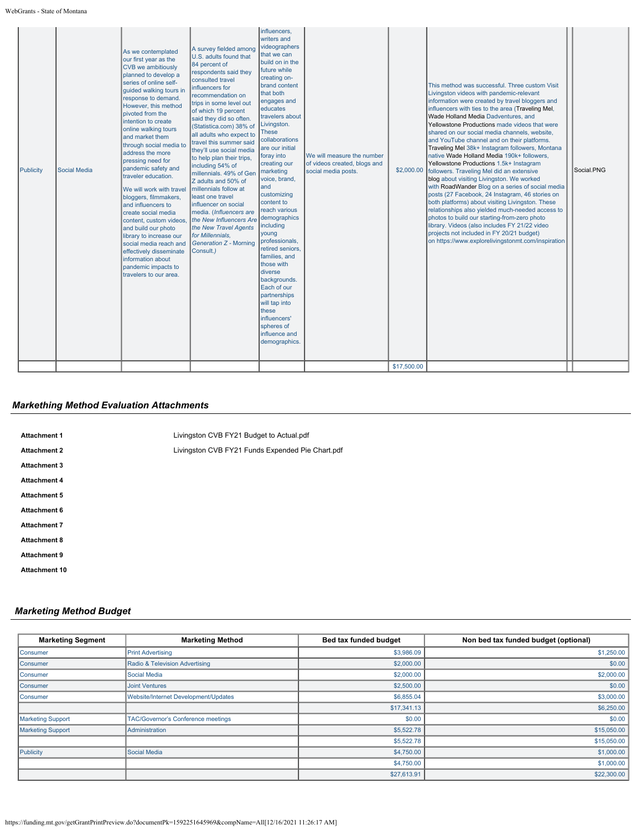WebGrants - State of Montana

## *Markething Method Evaluation Attachments*

| <b>Attachment 1</b>  | Livingston CVB FY21 Budget to Actual.pdf         |
|----------------------|--------------------------------------------------|
| <b>Attachment 2</b>  | Livingston CVB FY21 Funds Expended Pie Chart.pdf |
| <b>Attachment 3</b>  |                                                  |
| <b>Attachment 4</b>  |                                                  |
| <b>Attachment 5</b>  |                                                  |
| Attachment 6         |                                                  |
| <b>Attachment 7</b>  |                                                  |
| <b>Attachment 8</b>  |                                                  |
| <b>Attachment 9</b>  |                                                  |
| <b>Attachment 10</b> |                                                  |

## *Marketing Method Budget*

| <b>Marketing Segment</b> | <b>Marketing Method</b>              | Bed tax funded budget | Non bed tax funded budget (optional) |
|--------------------------|--------------------------------------|-----------------------|--------------------------------------|
| Consumer                 | <b>Print Advertising</b>             | \$3,986.09            | \$1,250.00                           |
| Consumer                 | Radio & Television Advertising       | \$2,000.00            | \$0.00                               |
| Consumer                 | Social Media                         | \$2,000.00            | \$2,000.00                           |
| Consumer                 | <b>Joint Ventures</b>                | \$2,500.00            | \$0.00                               |
| Consumer                 | Website/Internet Development/Updates | \$6,855.04            | \$3,000.00                           |
|                          |                                      | \$17,341.13           | \$6,250.00                           |
| <b>Marketing Support</b> | TAC/Governor's Conference meetings   | \$0.00                | \$0.00                               |
| <b>Marketing Support</b> | Administration                       | \$5,522.78            | \$15,050.00                          |
|                          |                                      | \$5,522.78            | \$15,050.00                          |
| Publicity                | Social Media                         | \$4,750.00            | \$1,000.00                           |
|                          |                                      | \$4,750.00            | \$1,000.00                           |
|                          |                                      | \$27,613.91           | \$22,300.00                          |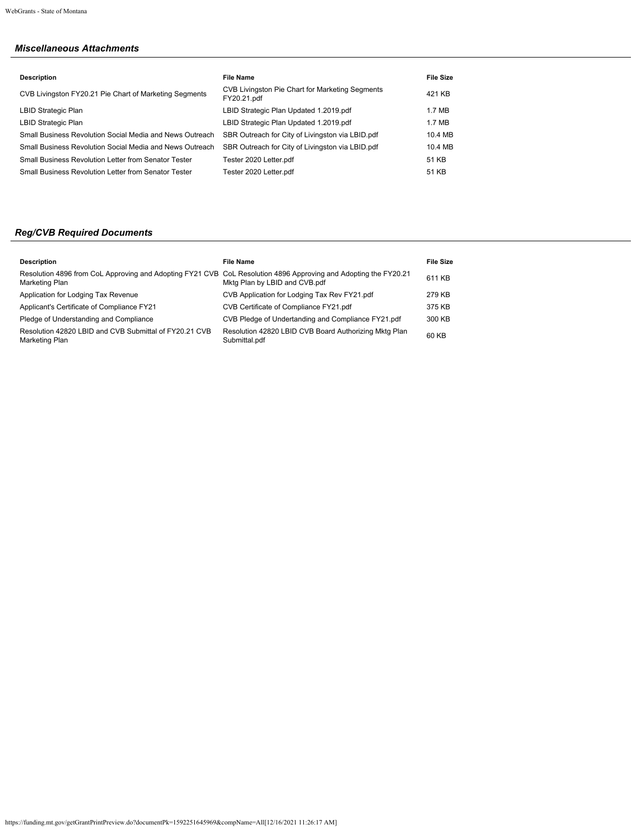# *Miscellaneous Attachments*

| <b>File Name</b>                                               | <b>File Size</b> |
|----------------------------------------------------------------|------------------|
| CVB Livingston Pie Chart for Marketing Segments<br>FY20.21.pdf | 421 KB           |
| LBID Strategic Plan Updated 1.2019.pdf                         | 1.7 MB           |
| LBID Strategic Plan Updated 1.2019.pdf                         | 1.7 MB           |
| SBR Outreach for City of Livingston via LBID.pdf               | 10.4 MB          |
| SBR Outreach for City of Livingston via LBID.pdf               | 10.4 MB          |
| Tester 2020 Letter.pdf                                         | 51 KB            |
| Tester 2020 Letter.pdf                                         | 51 KB            |
|                                                                |                  |

# *Reg/CVB Required Documents*

| <b>Description</b>                                                                                                                | File Name                                                              | <b>File Size</b> |
|-----------------------------------------------------------------------------------------------------------------------------------|------------------------------------------------------------------------|------------------|
| Resolution 4896 from CoL Approving and Adopting FY21 CVB CoL Resolution 4896 Approving and Adopting the FY20.21<br>Marketing Plan | Mktg Plan by LBID and CVB.pdf                                          | 611 KB           |
| Application for Lodging Tax Revenue                                                                                               | CVB Application for Lodging Tax Rev FY21.pdf                           | 279 KB           |
| Applicant's Certificate of Compliance FY21                                                                                        | CVB Certificate of Compliance FY21.pdf                                 | 375 KB           |
| Pledge of Understanding and Compliance                                                                                            | CVB Pledge of Undertanding and Compliance FY21.pdf                     | 300 KB           |
| Resolution 42820 LBID and CVB Submittal of FY20.21 CVB<br>Marketing Plan                                                          | Resolution 42820 LBID CVB Board Authorizing Mktg Plan<br>Submittal.pdf | 60 KB            |